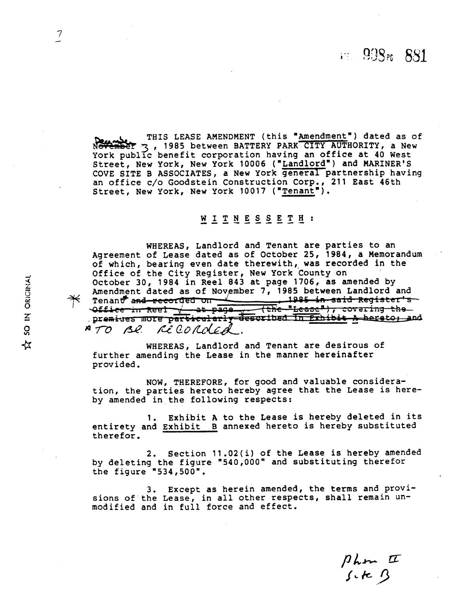- THIS LEASE AMENDMENT (this "Amendment") dated as of<br>Core and the THIS LEASE AMENDMENT (this "Amendment") dated as of<br>Cork public benefit corporation having an office at 40 West<br>Street, New York, New York 10006 ("Landlord THIS LEASE AMENDMENT (this "Amendment") dated as of<br>3, 1985 between BATTERY PARK CITY AUTHORITY, a New York public benefit corporation having an office at 40 West Street, New York, New York 10006 ("Landlord") and MARINER'S COVE SITE B ASSOCIATES, a New York general partnership having an office c/o Goodstein Construction Corp., 211 East 46th Street, New York, New York 10017 ("Tenant").

### WITNESSETH:

WHEREAS, Landlord and Tenant are parties to an Agreement of Lease dated as of October 25, 1984, a Memorandum of which, bearing even date therewith, was recorded in the Office of the City Register, New York County on October 30, 1984 in Reel 843 at page 1706, as amended by<br>Amendment dated as of November 7, 1985 between Landlord and Tenant and recorded on <del>1985 in said Register's</del> (the "Lease"), covering the  $\sqrt{4}$  .  $\sqrt{4}$  .  $\sqrt{4}$  .  $\sqrt{4}$  .  $\sqrt{4}$  .  $\sqrt{4}$  .  $\sqrt{4}$  .  $\sqrt{4}$  .  $\sqrt{4}$  .  $\sqrt{4}$  .  $\sqrt{4}$  .  $\sqrt{4}$  .  $\sqrt{4}$  .  $\sqrt{4}$  .  $\sqrt{4}$  .  $\sqrt{4}$  .  $\sqrt{4}$  .  $\sqrt{4}$  .  $\sqrt{4}$  .  $\sqrt{4}$  .  $\sqrt{4}$  .  $\sqrt{4}$  . premises more particularly described in Exhibit A hereto, and ATO Be recorded.

WHEREAS, Landlord and Tenant are desirous of further amending the Lease in the manner hereinafter provided.

NOW, THEREFORE, for good and valuable consideration, the parties hereto hereby agree that the Lease is hereby amended in the following respects:

1. Exhibit **A** to the Lease is hereby deleted in its entirety and Exhibit B annexed hereto is hereby substituted therefor.

2. Section 11.02(i) of the Lease is hereby amended by deleting the figure "540,000" and substituting therefor the figure "534,500".

3. Except as herein amended, the terms and provisions of the Lease, in all other respects, shall remain unmodified and in full force and effect.

Phon II

 $\overline{\mathcal{U}}$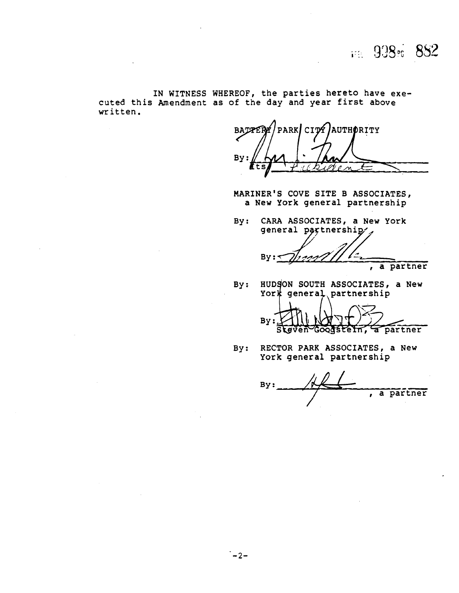**IN WITNESS WHEREOF, the parties hereto have executed this Amendment as of the day and year first above written.** 

PARK CITY AUTHORITY **BATTER** By

**MARINER'S COVE SITE B ASSOCIATES, a New York general partnership** 

**BY:** - **CARA ASSOCIATES, a New York**  general partnership

By: a partner

**HUDSON SOUTH ASSOCIATES, a New York general partnership**  $By:$ 

 $By:$ a partner Goodstein, Steven

**By: RECTOR PARK ASSOCIATES, a New York general partnership** 

**By** : -- , **a partner**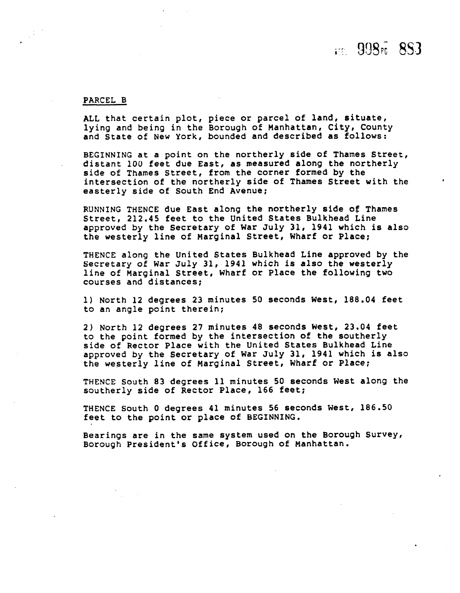# $F = 998F - 853$

#### PARCEL B

ALL that certain plot, piece or parcel of land, situate, lying and being in the Borough of Manhattan, City, County and State of New York, bounded and described as follows:

BEGINNING at a point on the northerly side of Thames Street, distant **100** feet due East, as measured along the northerly side of Thames Street, from the corner formed by the intersection of the northerly side of Thames Street with the easterly side of South End Avenue;

RUNNING THENCE due East along the northerly side **of** Thames Street, 212.45 feet to the United States Bulkhead Line approved by the Secretary of War July **31,** 1941 which is also the westerly line of Marginal Street, Wharf or Place;

THENCE along the United States Bulkhead Line approved by the Secretary of War July 31, 1941 which is also the westerly line of Marginal Street, Wharf or Place the following two courses and distances;

1) North 12 degrees 23 minutes 50 seconds West, 188.04 feet to an angle point therein;

2) North 12 degrees 27 minutes 48 seconds West, 23.04 feet to the point formed by the intersection of the southerly side of Rector Place with the United States Bulkhead Line approved by the Secretary of War July 31, 1941 which is also the westerly line of Marginal Street, Wharf or Place;

THENCE South 83 **degrees** 11 minutes 50 seconds West along the southerly side of Rector Place, 166 feet;

THENCE South **0** degrees 41 minutes 56 seconds West, 186.50 feet to the point or place of BEGINNING.

Bearings are in the same system used on the Borough Survey, Borough President's Office, Borough of Manhattan.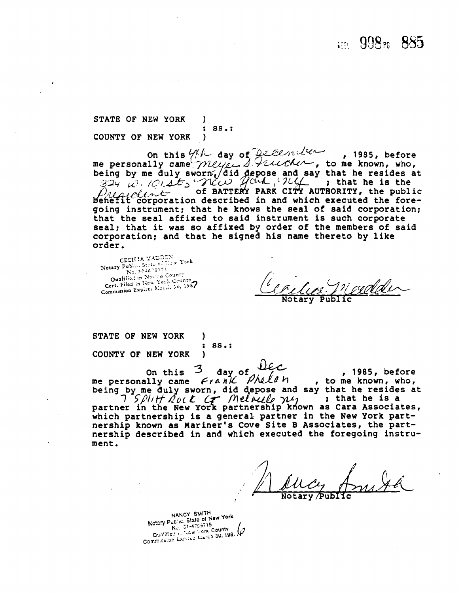## $F = 998$  m  $885$

**STATE** OF **NEW** YORK ) : SS.:<br>} COUNTY OF **NEW** YORK )

On this 4th day of December , 1985, before<br>me personally came *meyer* I Funching, to me known, who,  $\frac{33}{4}$  by me duly sworn. (did depose and say that he resides at  $\frac{33}{4}$   $\frac{13}{4}$   $\frac{13}{4}$   $\frac{13}{4}$   $\frac{13}{4}$   $\frac{13}{4}$   $\frac{13}{4}$   $\frac{13}{4}$   $\frac{13}{4}$   $\frac{13}{4}$   $\frac{13}{4}$   $\frac{13}{4}$   $\frac{13}{4}$   $\frac{13}{4}$ of BATTERY PARK CITY AUTHORITY, the public benefit corporation described in and which executed the foregoing instrument; that he knows the seal of said corporation; that the seal affixed to said instrument is such corporate seal; that it was so affixed by order of the members of said corporation; and that he signed his name thereto by **like** 

Order.<br>CECILIA MADDEN<br>Notary Public State of New York  $\frac{100...304678371}{\text{Ne}}$ No. 304678311<br>Qualified in Nascul County Qualified in Nasco County<br>Cert, Filed in New York County Cert. Filed in New York Commission Expires March 50, 1987

**STATE** OF **NEW** YORK ) : SS.:<br>} COUNTY OF NEW YORK

NEW YORK )<br>On this 3 day of  $\Omega_c$ , 1985, before on this 3 day of DEC, 1985, before<br>me personally came *Frank Phelan*, to me known, who, say that he resides at ; that he is a **as** Cara Associates, which partnership is a general partner in the New York part-

nership known as Mariner's Cove Site B Associates, the partnership described in and which executed the foregoing instrument.

NANCY SMITH NANCY SMITH<br>Notary Public, State of New York<br>No. 01-4759715<br>Qualified the New York County<br>Qualified the New New Dates No. 51-47597<br>Qualified in New York County<br>Commission Expires Narch 30, 198.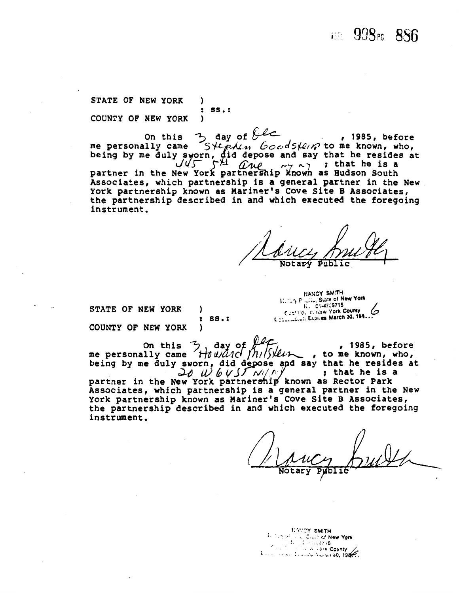### **112 998**<sup>6</sup> 886

STATE OF NEW YORK )  $:$  SS. $:$ COUNTY OF NEW YORK  $\lambda$ 

On this 3 day of  $\theta$  , 1985, before<br>me personally came  $S \nleftrightarrow \theta$  and  $S \nleftrightarrow \theta$  , 1985, before<br>being by me duly sworn, did depose and say that he resides at<br>next proposed in the state is a partner in the New York partnership known as Hudson South Associates, which partnership is a general partner in the New York partnership known as Mariner's Cove Site B Associates, the partnership described in and which executed the foregoing instrument.

STATE OF NEW YORK

-1

 $\ddot{\phantom{a}}$ 

 $ss.$ :

HANCY SMITH **1.** 15 P ... State of New York Clevific, it. New York County Communication Expires March 30, 193..

COUNTY OF NEW YORK  $\lambda$ 

on this 3, day of the personally came Houlding Milly , 1985, before , to me known, who, being by me duly sworn, did depose and say that he resides at  $20$  W 6455 NIM ; that he is a partner in the New York partnership known as Rector Park Associates, which partnership is a general partner in the New

York partnership known as Mariner's Cove Site B Associates, the partnership described in and which executed the foregoing instrument.

**NATCY SMITH** 科尔方式 **County of New York**  $\mathcal{U}_{\mathcal{A}}$  .  $C = 1.23716$  $\epsilon_{\rm eff}$ W. OIR County Commission Engineering South 1987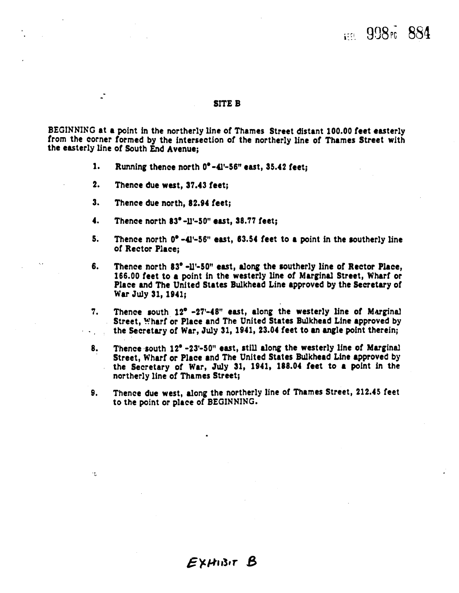## $1008<sub>0</sub>$  884

#### SITE **B**

BEGINNING at a point in the northerly line of Thames Street distant 100.00 feet easterly from the corner formed by the intersection of the northerly line of Thames Street with the easterly line of South End Avenue;

- 1. Running thence north  $0^{\circ}$ -41'-56" east, 35.42 feet;
- 2. Thence due west, 37.43 feet;

-

÷.

- 3. Thence due north, 82.94 feet;
- 4. Thence north  $83^{\circ}$ -11'-50" east, 38.77 feet;
- 5. Thence north  $0^{\circ}$  -41'-56" east, 63.54 feet to a point in the southerly line of Rector Place;
- 6. Thence north 83' -11'-50" east, dong the southerly line of Rector Place, 166.00 feet to a point in the westerly line of Marginal Street, Wharf or Place and The United States Bulkhead Line approved by the Secretary of War July 31, 1941;
- **7.** Thence south 12' -27'-48'' east, along the westerly line of **Mmginal**  Street, Wharf or Place and The United States Bulkhead Line approved by . . the Secretary of War, July 31, 1941, 23.04 feet to **an** mgle point therein;
- 8. Thence south 12° -23'-50" east, still along the westerly line of Marginal Street, Wharf or Place and The United States Bulkhead Line approved by the Secretary of War, July 31, 1941, 188.04 feet to a point in the northerly line of Thames Street;
- **9.** Thence due west, along the northerly line of Thames Street, 212.45 feet to the point or place of BEGINNING.